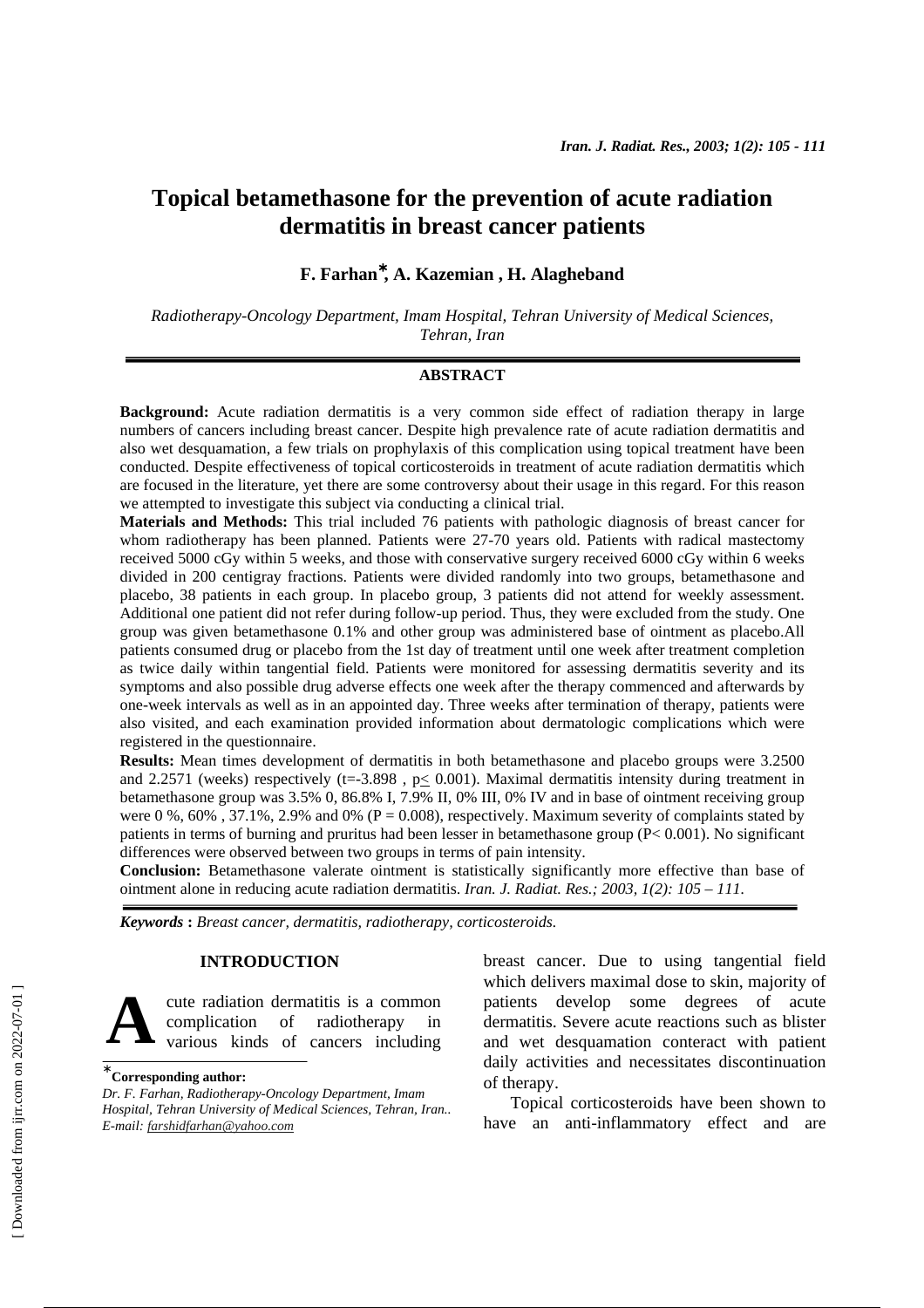# **Topical betamethasone for the prevention of acute radiation dermatitis in breast cancer patients**

# **F. Farhan**<sup>∗</sup> **, A. Kazemian , H. Alagheband**

*Radiotherapy-Oncology Department, Imam Hospital, Tehran University of Medical Sciences, Tehran, Iran* 

## **ABSTRACT**

**Background:** Acute radiation dermatitis is a very common side effect of radiation therapy in large numbers of cancers including breast cancer. Despite high prevalence rate of acute radiation dermatitis and also wet desquamation, a few trials on prophylaxis of this complication using topical treatment have been conducted. Despite effectiveness of topical corticosteroids in treatment of acute radiation dermatitis which are focused in the literature, yet there are some controversy about their usage in this regard. For this reason we attempted to investigate this subject via conducting a clinical trial.

**Materials and Methods:** This trial included 76 patients with pathologic diagnosis of breast cancer for whom radiotherapy has been planned. Patients were 27-70 years old. Patients with radical mastectomy received 5000 cGy within 5 weeks, and those with conservative surgery received 6000 cGy within 6 weeks divided in 200 centigray fractions. Patients were divided randomly into two groups, betamethasone and placebo, 38 patients in each group. In placebo group, 3 patients did not attend for weekly assessment. Additional one patient did not refer during follow-up period. Thus, they were excluded from the study. One group was given betamethasone 0.1% and other group was administered base of ointment as placebo.All patients consumed drug or placebo from the 1st day of treatment until one week after treatment completion as twice daily within tangential field. Patients were monitored for assessing dermatitis severity and its symptoms and also possible drug adverse effects one week after the therapy commenced and afterwards by one-week intervals as well as in an appointed day. Three weeks after termination of therapy, patients were also visited, and each examination provided information about dermatologic complications which were registered in the questionnaire.

**Results:** Mean times development of dermatitis in both betamethasone and placebo groups were 3.2500 and 2.2571 (weeks) respectively ( $t=3.898$ ,  $p< 0.001$ ). Maximal dermatitis intensity during treatment in betamethasone group was 3.5% 0, 86.8% I, 7.9% II, 0% III, 0% IV and in base of ointment receiving group were 0 %, 60%, 37.1%, 2.9% and 0% ( $P = 0.008$ ), respectively. Maximum severity of complaints stated by patients in terms of burning and pruritus had been lesser in betamethasone group (P< 0.001). No significant differences were observed between two groups in terms of pain intensity.

**Conclusion:** Betamethasone valerate ointment is statistically significantly more effective than base of ointment alone in reducing acute radiation dermatitis. *Iran. J. Radiat. Res.; 2003, 1(2): 105 – 111.* 

*Keywords* **:** *Breast cancer, dermatitis, radiotherapy, corticosteroids.*

# **INTRODUCTION**

cute radiation dermatitis is a common complication of radiotherapy in various kinds of cancers including **A**

*Dr. F. Farhan, Radiotherapy-Oncology Department, Imam Hospital, Tehran University of Medical Sciences, Tehran, Iran.. E-mail: farshidfarhan@yahoo.com*

breast cancer. Due to using tangential field which delivers maximal dose to skin, majority of patients develop some degrees of acute dermatitis. Severe acute reactions such as blister and wet desquamation conteract with patient daily activities and necessitates discontinuation of therapy.

Topical corticosteroids have been shown to have an anti-inflammatory effect and are

<sup>∗</sup>  **Corresponding author:**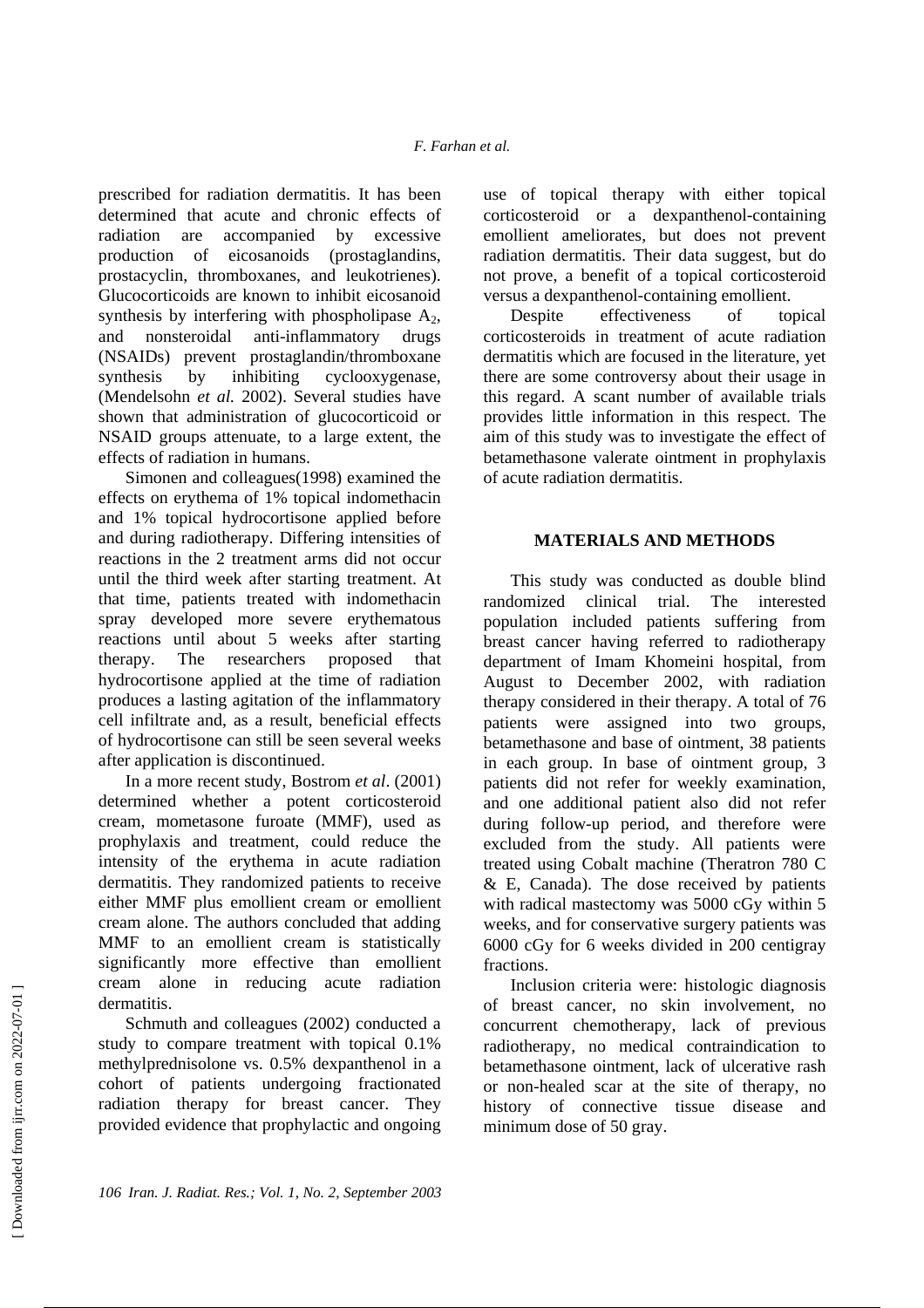prescribed for radiation dermatitis. It has been determined that acute and chronic effects of radiation are accompanied by excessive production of eicosanoids (prostaglandins, prostacyclin, thromboxanes, and leukotrienes). Glucocorticoids are known to inhibit eicosanoid synthesis by interfering with phospholipase  $A_2$ , and nonsteroidal anti-inflammatory drugs (NSAIDs) prevent prostaglandin/thromboxane synthesis by inhibiting cyclooxygenase, (Mendelsohn *et al.* 2002). Several studies have shown that administration of glucocorticoid or NSAID groups attenuate, to a large extent, the effects of radiation in humans.

Simonen and colleagues(1998) examined the effects on erythema of 1% topical indomethacin and 1% topical hydrocortisone applied before and during radiotherapy. Differing intensities of reactions in the 2 treatment arms did not occur until the third week after starting treatment. At that time, patients treated with indomethacin spray developed more severe erythematous reactions until about 5 weeks after starting therapy. The researchers proposed that hydrocortisone applied at the time of radiation produces a lasting agitation of the inflammatory cell infiltrate and, as a result, beneficial effects of hydrocortisone can still be seen several weeks after application is discontinued.

In a more recent study, Bostrom *et al*. (2001) determined whether a potent corticosteroid cream, mometasone furoate (MMF), used as prophylaxis and treatment, could reduce the intensity of the erythema in acute radiation dermatitis. They randomized patients to receive either MMF plus emollient cream or emollient cream alone. The authors concluded that adding MMF to an emollient cream is statistically significantly more effective than emollient cream alone in reducing acute radiation dermatitis.

Schmuth and colleagues (2002) conducted a study to compare treatment with topical 0.1% methylprednisolone vs. 0.5% dexpanthenol in a cohort of patients undergoing fractionated radiation therapy for breast cancer. They provided evidence that prophylactic and ongoing

use of topical therapy with either topical corticosteroid or a dexpanthenol-containing emollient ameliorates, but does not prevent radiation dermatitis. Their data suggest, but do not prove, a benefit of a topical corticosteroid versus a dexpanthenol-containing emollient.

Despite effectiveness of topical corticosteroids in treatment of acute radiation dermatitis which are focused in the literature, yet there are some controversy about their usage in this regard. A scant number of available trials provides little information in this respect. The aim of this study was to investigate the effect of betamethasone valerate ointment in prophylaxis of acute radiation dermatitis.

# **MATERIALS AND METHODS**

This study was conducted as double blind randomized clinical trial. The interested population included patients suffering from breast cancer having referred to radiotherapy department of Imam Khomeini hospital, from August to December 2002, with radiation therapy considered in their therapy. A total of 76 patients were assigned into two groups, betamethasone and base of ointment, 38 patients in each group. In base of ointment group, 3 patients did not refer for weekly examination, and one additional patient also did not refer during follow-up period, and therefore were excluded from the study. All patients were treated using Cobalt machine (Theratron 780 C  $&$  E, Canada). The dose received by patients with radical mastectomy was 5000 cGy within 5 weeks, and for conservative surgery patients was 6000 cGy for 6 weeks divided in 200 centigray fractions.

Inclusion criteria were: histologic diagnosis of breast cancer, no skin involvement, no concurrent chemotherapy, lack of previous radiotherapy, no medical contraindication to betamethasone ointment, lack of ulcerative rash or non-healed scar at the site of therapy, no history of connective tissue disease and minimum dose of 50 gray.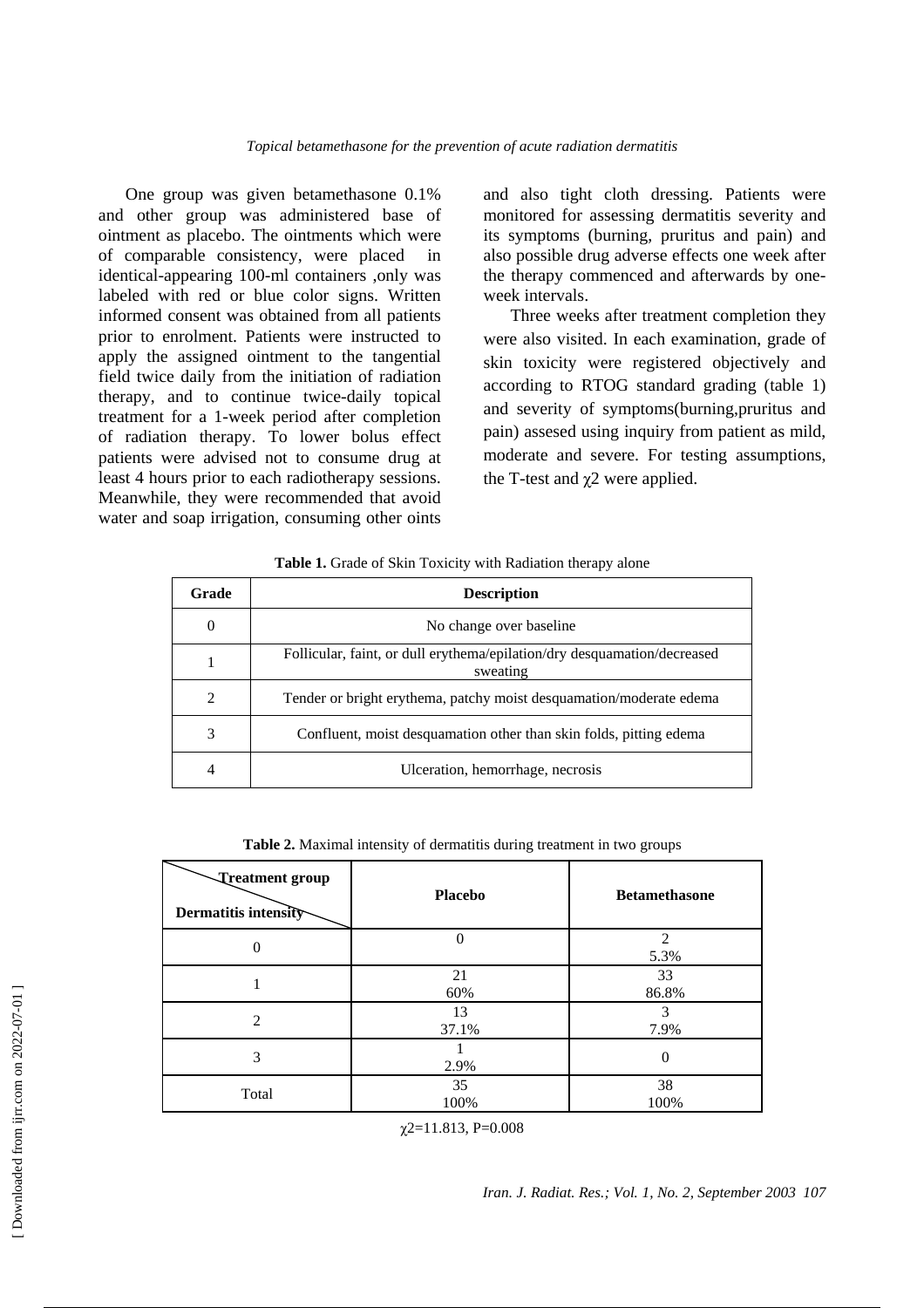One group was given betamethasone 0.1% and other group was administered base of ointment as placebo. The ointments which were of comparable consistency, were placed in identical-appearing 100-ml containers ,only was labeled with red or blue color signs. Written informed consent was obtained from all patients prior to enrolment. Patients were instructed to apply the assigned ointment to the tangential field twice daily from the initiation of radiation therapy, and to continue twice-daily topical treatment for a 1-week period after completion of radiation therapy. To lower bolus effect patients were advised not to consume drug at least 4 hours prior to each radiotherapy sessions. Meanwhile, they were recommended that avoid water and soap irrigation, consuming other oints

and also tight cloth dressing. Patients were monitored for assessing dermatitis severity and its symptoms (burning, pruritus and pain) and also possible drug adverse effects one week after the therapy commenced and afterwards by oneweek intervals.

Three weeks after treatment completion they were also visited. In each examination, grade of skin toxicity were registered objectively and according to RTOG standard grading (table 1) and severity of symptoms(burning,pruritus and pain) assesed using inquiry from patient as mild, moderate and severe. For testing assumptions, the T-test and  $χ$ 2 were applied.

| Table 1. Grade of Skin Toxicity with Radiation therapy alone |
|--------------------------------------------------------------|
|                                                              |

| Grade    | <b>Description</b>                                                                   |
|----------|--------------------------------------------------------------------------------------|
| $\theta$ | No change over baseline.                                                             |
|          | Follicular, faint, or dull erythema/epilation/dry desquamation/decreased<br>sweating |
| 2        | Tender or bright erythema, patchy moist desquamation/moderate edema                  |
| 3        | Confluent, moist desquamation other than skin folds, pitting edema                   |
| 4        | Ulceration, hemorrhage, necrosis                                                     |

**Table 2.** Maximal intensity of dermatitis during treatment in two groups

| Treatment group<br>Dermatitis intensity | <b>Placebo</b> | <b>Betamethasone</b> |
|-----------------------------------------|----------------|----------------------|
| 0                                       | $\theta$       | ↑<br>5.3%            |
|                                         | 21<br>60%      | 33<br>86.8%          |
| $\overline{c}$                          | 13<br>37.1%    | 3<br>7.9%            |
| 3                                       | 2.9%           | 0                    |
| Total                                   | 35<br>100%     | 38<br>100%           |

 $\chi$ 2=11.813, P=0.008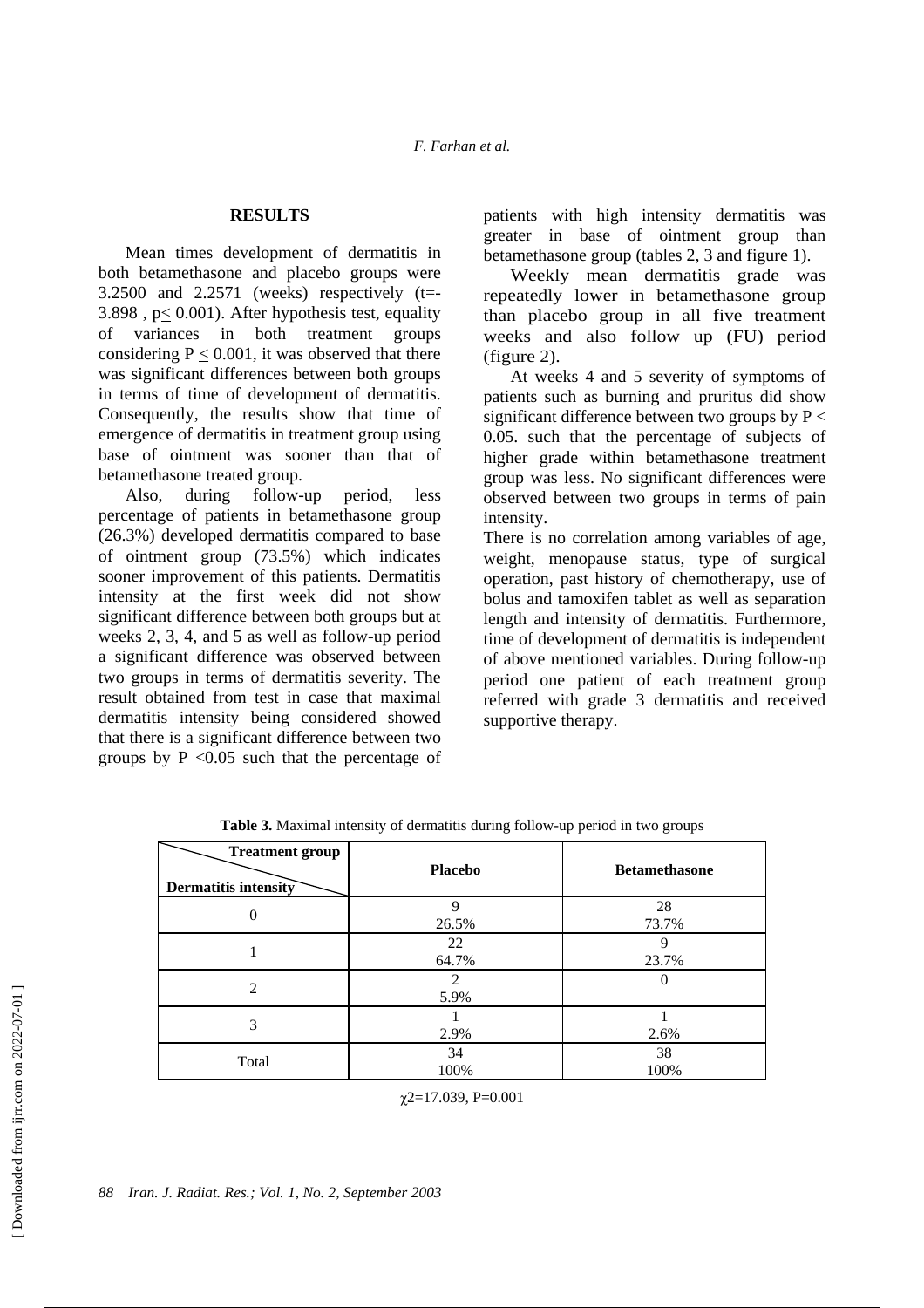### **RESULTS**

Mean times development of dermatitis in both betamethasone and placebo groups were 3.2500 and 2.2571 (weeks) respectively (t=- 3.898 , p< 0.001). After hypothesis test, equality of variances in both treatment groups considering  $P \le 0.001$ , it was observed that there was significant differences between both groups in terms of time of development of dermatitis. Consequently, the results show that time of emergence of dermatitis in treatment group using base of ointment was sooner than that of betamethasone treated group.

Also, during follow-up period, less percentage of patients in betamethasone group (26.3%) developed dermatitis compared to base of ointment group (73.5%) which indicates sooner improvement of this patients. Dermatitis intensity at the first week did not show significant difference between both groups but at weeks 2, 3, 4, and 5 as well as follow-up period a significant difference was observed between two groups in terms of dermatitis severity. The result obtained from test in case that maximal dermatitis intensity being considered showed that there is a significant difference between two groups by  $P \leq 0.05$  such that the percentage of patients with high intensity dermatitis was greater in base of ointment group than betamethasone group (tables 2, 3 and figure 1).

Weekly mean dermatitis grade was repeatedly lower in betamethasone group than placebo group in all five treatment weeks and also follow up (FU) period (figure 2).

At weeks 4 and 5 severity of symptoms of patients such as burning and pruritus did show significant difference between two groups by  $P \leq$ 0.05. such that the percentage of subjects of higher grade within betamethasone treatment group was less. No significant differences were observed between two groups in terms of pain intensity.

There is no correlation among variables of age, weight, menopause status, type of surgical operation, past history of chemotherapy, use of bolus and tamoxifen tablet as well as separation length and intensity of dermatitis. Furthermore, time of development of dermatitis is independent of above mentioned variables. During follow-up period one patient of each treatment group referred with grade 3 dermatitis and received supportive therapy.

| <b>Treatment group</b><br><b>Dermatitis intensity</b> | <b>Placebo</b> | <b>Betamethasone</b> |
|-------------------------------------------------------|----------------|----------------------|
| 0                                                     | Q<br>26.5%     | 28<br>73.7%          |
|                                                       | 22<br>64.7%    | Q<br>23.7%           |
| $\mathcal{L}$                                         | 2<br>5.9%      |                      |
| 3                                                     | 2.9%           | 2.6%                 |
| Total                                                 | 34<br>100%     | 38<br>100%           |

**Table 3.** Maximal intensity of dermatitis during follow-up period in two groups

 $\gamma$ 2=17.039, P=0.001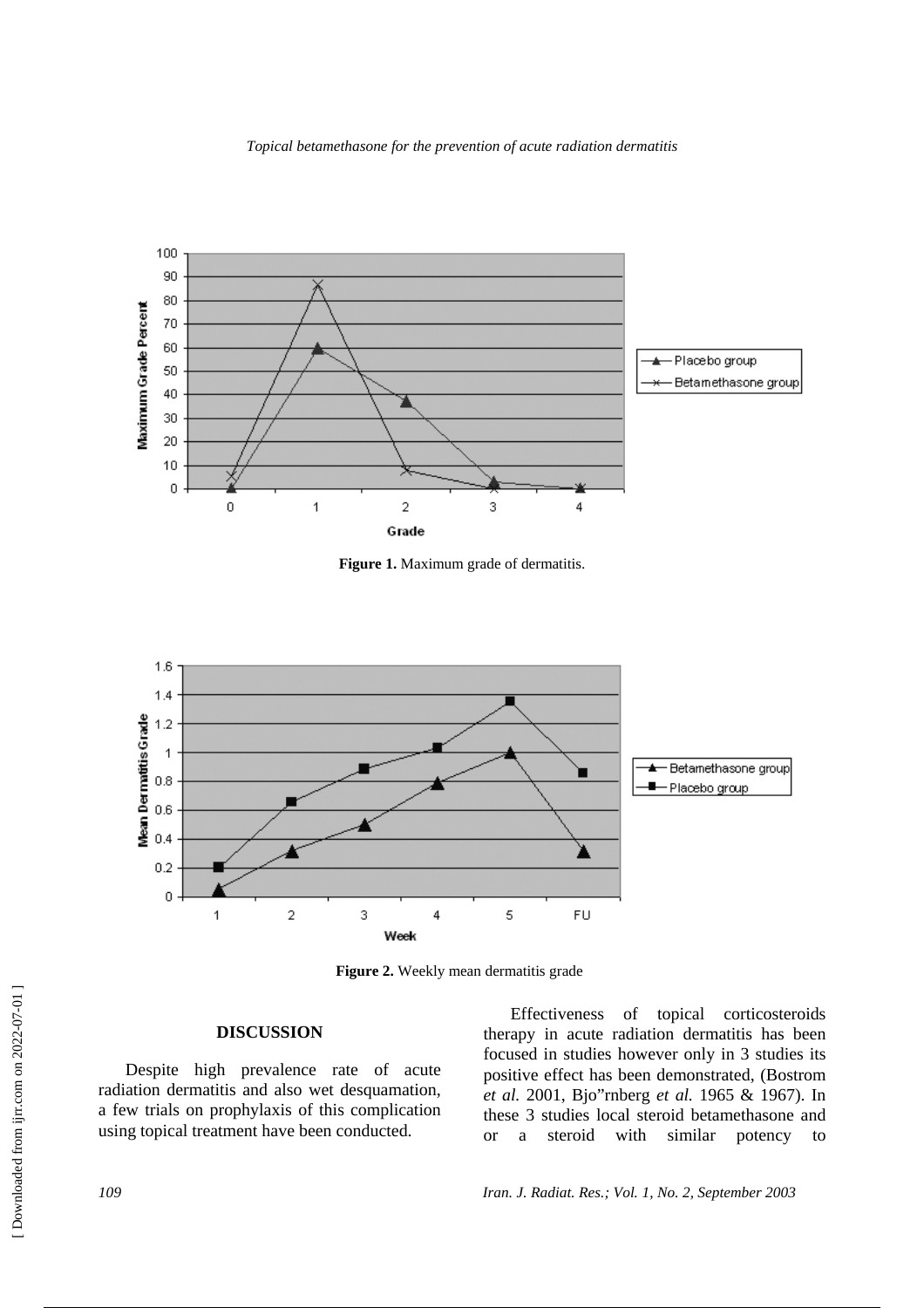

**Figure 1.** Maximum grade of dermatitis.



Figure 2. Weekly mean dermatitis grade

### **DISCUSSION**

Despite high prevalence rate of acute radiation dermatitis and also wet desquamation, a few trials on prophylaxis of this complication using topical treatment have been conducted.

Effectiveness of topical corticosteroids therapy in acute radiation dermatitis has been focused in studies however only in 3 studies its positive effect has been demonstrated, (Bostrom *et al.* 2001, Bjo"rnberg *et al.* 1965 & 1967). In these 3 studies local steroid betamethasone and or a steroid with similar potency to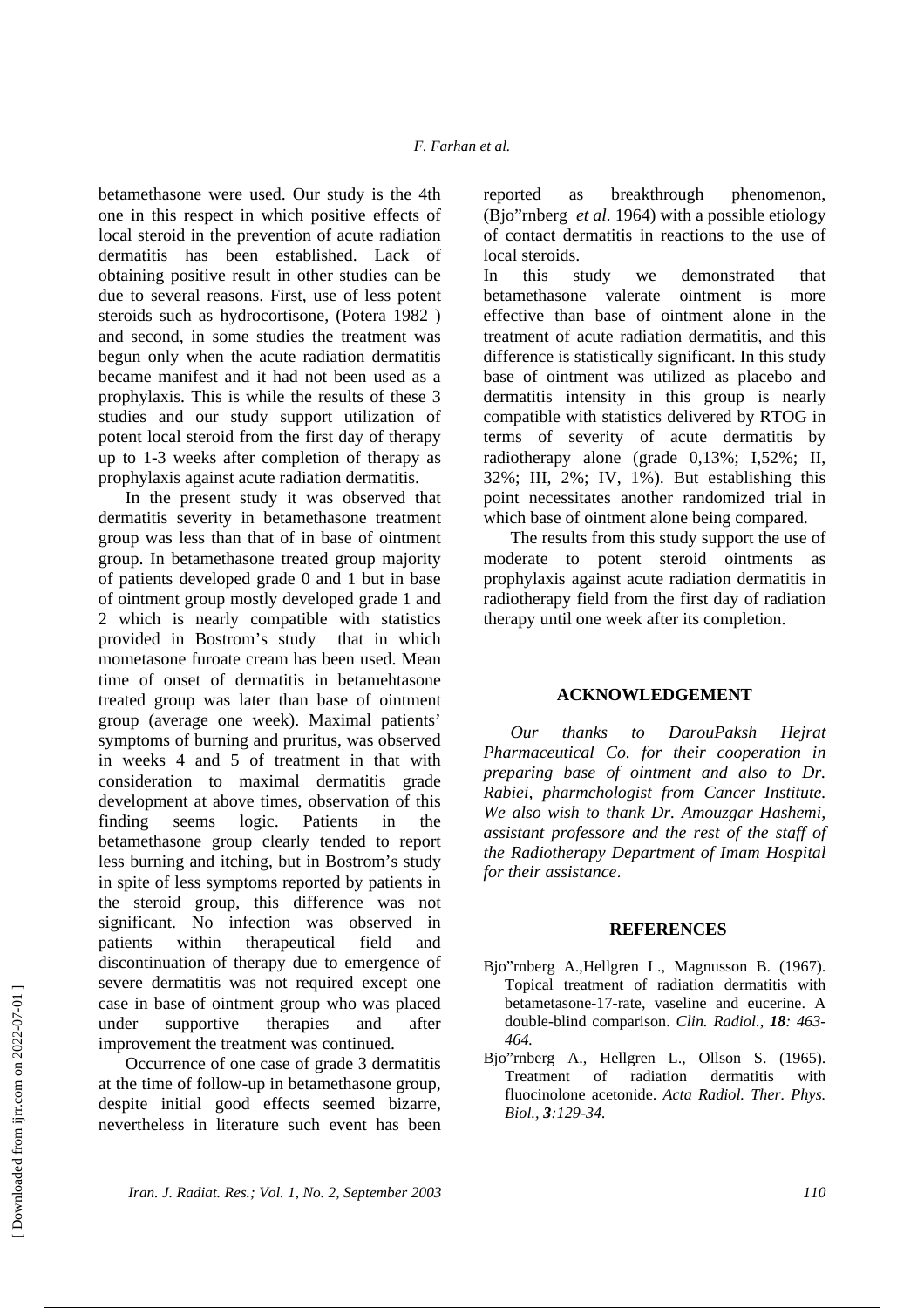betamethasone were used. Our study is the 4th one in this respect in which positive effects of local steroid in the prevention of acute radiation dermatitis has been established. Lack of obtaining positive result in other studies can be due to several reasons. First, use of less potent steroids such as hydrocortisone, (Potera 1982 ) and second, in some studies the treatment was begun only when the acute radiation dermatitis became manifest and it had not been used as a prophylaxis. This is while the results of these 3 studies and our study support utilization of potent local steroid from the first day of therapy up to 1-3 weeks after completion of therapy as prophylaxis against acute radiation dermatitis.

In the present study it was observed that dermatitis severity in betamethasone treatment group was less than that of in base of ointment group. In betamethasone treated group majority of patients developed grade 0 and 1 but in base of ointment group mostly developed grade 1 and 2 which is nearly compatible with statistics provided in Bostrom's study that in which mometasone furoate cream has been used. Mean time of onset of dermatitis in betamehtasone treated group was later than base of ointment group (average one week). Maximal patients' symptoms of burning and pruritus, was observed in weeks 4 and 5 of treatment in that with consideration to maximal dermatitis grade development at above times, observation of this finding seems logic. Patients in the betamethasone group clearly tended to report less burning and itching, but in Bostrom's study in spite of less symptoms reported by patients in the steroid group, this difference was not significant. No infection was observed in patients within therapeutical field and discontinuation of therapy due to emergence of severe dermatitis was not required except one case in base of ointment group who was placed under supportive therapies and after improvement the treatment was continued.

Occurrence of one case of grade 3 dermatitis at the time of follow-up in betamethasone group, despite initial good effects seemed bizarre, nevertheless in literature such event has been reported as breakthrough phenomenon, (Bjo"rnberg *et al.* 1964) with a possible etiology of contact dermatitis in reactions to the use of local steroids.

In this study we demonstrated that betamethasone valerate ointment is more effective than base of ointment alone in the treatment of acute radiation dermatitis, and this difference is statistically significant. In this study base of ointment was utilized as placebo and dermatitis intensity in this group is nearly compatible with statistics delivered by RTOG in terms of severity of acute dermatitis by radiotherapy alone (grade 0,13%; I,52%; II, 32%; III, 2%; IV, 1%). But establishing this point necessitates another randomized trial in which base of ointment alone being compared.

The results from this study support the use of moderate to potent steroid ointments as prophylaxis against acute radiation dermatitis in radiotherapy field from the first day of radiation therapy until one week after its completion.

#### **ACKNOWLEDGEMENT**

*Our thanks to DarouPaksh Hejrat Pharmaceutical Co. for their cooperation in preparing base of ointment and also to Dr. Rabiei, pharmchologist from Cancer Institute. We also wish to thank Dr. Amouzgar Hashemi, assistant professore and the rest of the staff of the Radiotherapy Department of Imam Hospital for their assistance.*

#### **REFERENCES**

- Bjo"rnberg A.,Hellgren L., Magnusson B. (1967). Topical treatment of radiation dermatitis with betametasone-17-rate, vaseline and eucerine. A double-blind comparison. *Clin. Radiol., 18: 463- 464.*
- Bjo"rnberg A., Hellgren L., Ollson S. (1965). Treatment of radiation dermatitis with fluocinolone acetonide. *Acta Radiol. Ther. Phys. Biol., 3:129-34.*